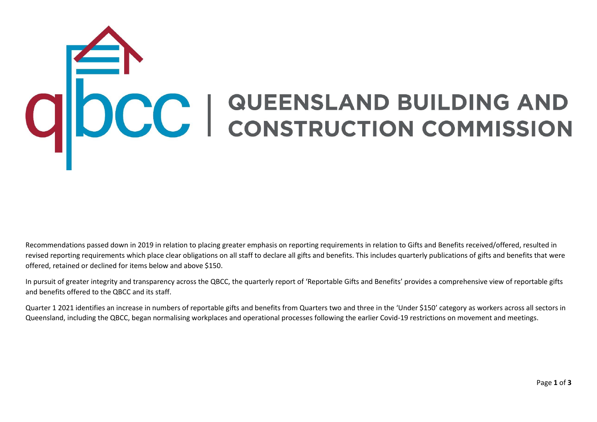## COCC | QUEENSLAND BUILDING AND

Recommendations passed down in 2019 in relation to placing greater emphasis on reporting requirements in relation to Gifts and Benefits received/offered, resulted in revised reporting requirements which place clear obligations on all staff to declare all gifts and benefits. This includes quarterly publications of gifts and benefits that were offered, retained or declined for items below and above \$150.

In pursuit of greater integrity and transparency across the QBCC, the quarterly report of 'Reportable Gifts and Benefits' provides a comprehensive view of reportable gifts and benefits offered to the QBCC and its staff.

Quarter 1 2021 identifies an increase in numbers of reportable gifts and benefits from Quarters two and three in the 'Under \$150' category as workers across all sectors in Queensland, including the QBCC, began normalising workplaces and operational processes following the earlier Covid-19 restrictions on movement and meetings.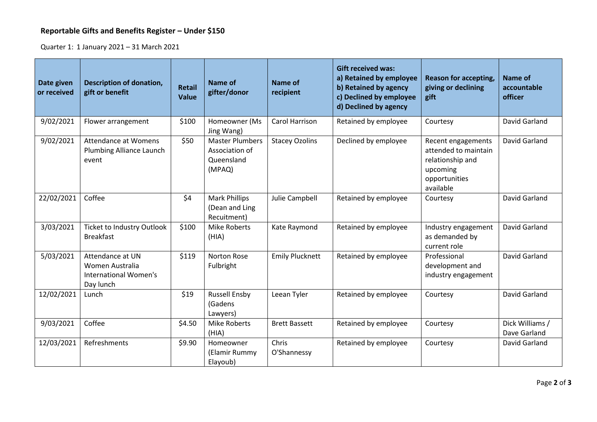## **Reportable Gifts and Benefits Register – Under \$150**

Quarter 1: 1 January 2021 – 31 March 2021

| Date given<br>or received | <b>Description of donation,</b><br>gift or benefit                        | <b>Retail</b><br><b>Value</b> | <b>Name of</b><br>gifter/donor                                   | <b>Name of</b><br>recipient | <b>Gift received was:</b><br>a) Retained by employee<br>b) Retained by agency<br>c) Declined by employee<br>d) Declined by agency | <b>Reason for accepting,</b><br>giving or declining<br>gift                                              | <b>Name of</b><br>accountable<br>officer |
|---------------------------|---------------------------------------------------------------------------|-------------------------------|------------------------------------------------------------------|-----------------------------|-----------------------------------------------------------------------------------------------------------------------------------|----------------------------------------------------------------------------------------------------------|------------------------------------------|
| 9/02/2021                 | Flower arrangement                                                        | \$100                         | Homeowner (Ms<br>Jing Wang)                                      | Carol Harrison              | Retained by employee                                                                                                              | Courtesy                                                                                                 | David Garland                            |
| 9/02/2021                 | Attendance at Womens<br>Plumbing Alliance Launch<br>event                 | \$50                          | <b>Master Plumbers</b><br>Association of<br>Queensland<br>(MPAQ) | <b>Stacey Ozolins</b>       | Declined by employee                                                                                                              | Recent engagements<br>attended to maintain<br>relationship and<br>upcoming<br>opportunities<br>available | David Garland                            |
| 22/02/2021                | Coffee                                                                    | \$4                           | <b>Mark Phillips</b><br>(Dean and Ling<br>Recuitment)            | Julie Campbell              | Retained by employee                                                                                                              | Courtesy                                                                                                 | David Garland                            |
| 3/03/2021                 | <b>Ticket to Industry Outlook</b><br><b>Breakfast</b>                     | \$100                         | Mike Roberts<br>(HIA)                                            | Kate Raymond                | Retained by employee                                                                                                              | Industry engagement<br>as demanded by<br>current role                                                    | David Garland                            |
| 5/03/2021                 | Attendance at UN<br>Women Australia<br>International Women's<br>Day lunch | \$119                         | <b>Norton Rose</b><br>Fulbright                                  | <b>Emily Plucknett</b>      | Retained by employee                                                                                                              | Professional<br>development and<br>industry engagement                                                   | <b>David Garland</b>                     |
| 12/02/2021                | Lunch                                                                     | \$19                          | <b>Russell Ensby</b><br>(Gadens<br>Lawyers)                      | Leean Tyler                 | Retained by employee                                                                                                              | Courtesy                                                                                                 | David Garland                            |
| 9/03/2021                 | Coffee                                                                    | \$4.50                        | <b>Mike Roberts</b><br>(HIA)                                     | <b>Brett Bassett</b>        | Retained by employee                                                                                                              | Courtesy                                                                                                 | Dick Williams /<br>Dave Garland          |
| 12/03/2021                | Refreshments                                                              | \$9.90                        | Homeowner<br>(Elamir Rummy<br>Elayoub)                           | Chris<br>O'Shannessy        | Retained by employee                                                                                                              | Courtesy                                                                                                 | David Garland                            |